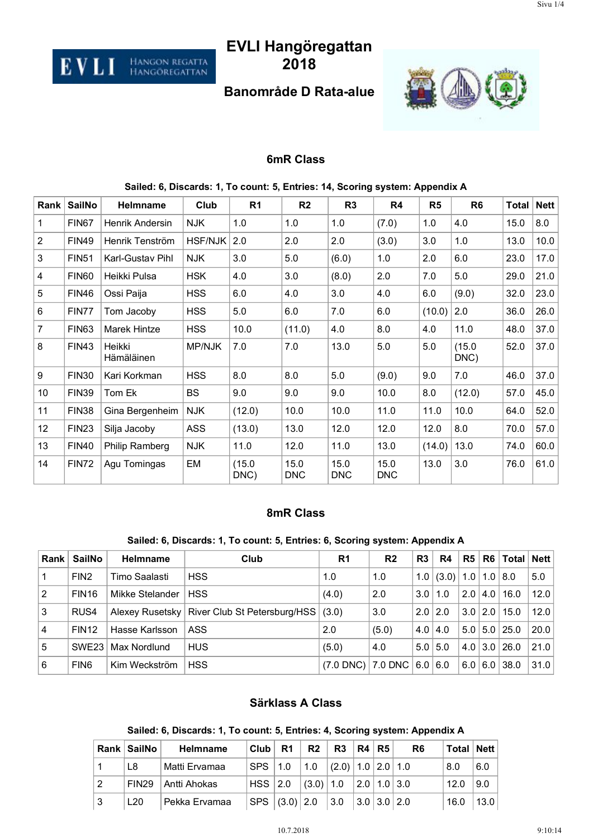# **EVLI Hangöregattan 2018**

EVLI

Hangon regatta<br>Hangöregattan

## **Banområde D Rata-alue**



#### **6mR Class**

| Rank           | <b>SailNo</b> | Helmname             | Club       | R <sub>1</sub> | R <sub>2</sub>     | R <sub>3</sub>     | R4                 | R <sub>5</sub> | R <sub>6</sub> | Total | <b>Nett</b> |
|----------------|---------------|----------------------|------------|----------------|--------------------|--------------------|--------------------|----------------|----------------|-------|-------------|
| 1              | FIN67         | Henrik Andersin      | <b>NJK</b> | 1.0            | 1.0                | 1.0                | (7.0)              | 1.0            | 4.0            | 15.0  | 8.0         |
| $\overline{2}$ | <b>FIN49</b>  | Henrik Tenström      | HSF/NJK    | 2.0            | 2.0                | 2.0                | (3.0)              | 3.0            | 1.0            | 13.0  | 10.0        |
| 3              | <b>FIN51</b>  | Karl-Gustav Pihl     | <b>NJK</b> | 3.0            | 5.0                | (6.0)              | 1.0                | 2.0            | 6.0            | 23.0  | 17.0        |
| 4              | FIN60         | Heikki Pulsa         | <b>HSK</b> | 4.0            | 3.0                | (8.0)              | 2.0                | 7.0            | 5.0            | 29.0  | 21.0        |
| 5              | <b>FIN46</b>  | Ossi Paija           | <b>HSS</b> | 6.0            | 4.0                | 3.0                | 4.0                | 6.0            | (9.0)          | 32.0  | 23.0        |
| 6              | FIN77         | Tom Jacoby           | <b>HSS</b> | 5.0            | 6.0                | 7.0                | 6.0                | (10.0)         | 2.0            | 36.0  | 26.0        |
| $\overline{7}$ | <b>FIN63</b>  | Marek Hintze         | <b>HSS</b> | 10.0           | (11.0)             | 4.0                | 8.0                | 4.0            | 11.0           | 48.0  | 37.0        |
| 8              | <b>FIN43</b>  | Heikki<br>Hämäläinen | MP/NJK     | 7.0            | 7.0                | 13.0               | 5.0                | 5.0            | (15.0)<br>DNC) | 52.0  | 37.0        |
| 9              | <b>FIN30</b>  | Kari Korkman         | <b>HSS</b> | 8.0            | 8.0                | 5.0                | (9.0)              | 9.0            | 7.0            | 46.0  | 37.0        |
| 10             | <b>FIN39</b>  | Tom Ek               | <b>BS</b>  | 9.0            | 9.0                | 9.0                | 10.0               | 8.0            | (12.0)         | 57.0  | 45.0        |
| 11             | FIN38         | Gina Bergenheim      | <b>NJK</b> | (12.0)         | 10.0               | 10.0               | 11.0               | 11.0           | 10.0           | 64.0  | 52.0        |
| 12             | <b>FIN23</b>  | Silja Jacoby         | <b>ASS</b> | (13.0)         | 13.0               | 12.0               | 12.0               | 12.0           | 8.0            | 70.0  | 57.0        |
| 13             | <b>FIN40</b>  | Philip Ramberg       | <b>NJK</b> | 11.0           | 12.0               | 11.0               | 13.0               | (14.0)         | 13.0           | 74.0  | 60.0        |
| 14             | <b>FIN72</b>  | Agu Tomingas         | EM         | (15.0)<br>DNC) | 15.0<br><b>DNC</b> | 15.0<br><b>DNC</b> | 15.0<br><b>DNC</b> | 13.0           | 3.0            | 76.0  | 61.0        |

#### **Sailed: 6, Discards: 1, To count: 5, Entries: 14, Scoring system: Appendix A**

#### **8mR Class**

#### **Sailed: 6, Discards: 1, To count: 5, Entries: 6, Scoring system: Appendix A**

| <b>Rank</b>    | SailNo           | <b>Helmname</b> | Club                                 | R <sub>1</sub>          | R <sub>2</sub> | R <sub>3</sub>   | R4             | R5  |                  | R6  Total   Nett |      |
|----------------|------------------|-----------------|--------------------------------------|-------------------------|----------------|------------------|----------------|-----|------------------|------------------|------|
|                | FIN <sub>2</sub> | Timo Saalasti   | <b>HSS</b>                           | 1.0                     | 1.0            | 1.0 <sub>1</sub> | (3.0)          | 1.0 | 1.0              | 8.0              | 5.0  |
| $\overline{2}$ | <b>FIN16</b>     | Mikke Stelander | <b>HSS</b>                           | (4.0)                   | 2.0            | 3.0              | 1.0            | 2.0 | 4.0 <sup>1</sup> | 16.0             | 12.0 |
| 3              | RUS4             | Alexey Rusetsky | River Club St Petersburg/HSS   (3.0) |                         | 3.0            |                  | $2.0 \mid 2.0$ | 3.0 | 2.0              | 15.0             | 12.0 |
| $\overline{4}$ | <b>FIN12</b>     | Hasse Karlsson  | ASS                                  | 2.0                     | (5.0)          | 4.0              | 4.0            | 5.0 |                  | $5.0$   25.0     | 20.0 |
| <u>'5</u>      | SWF23            | Max Nordlund    | <b>HUS</b>                           | (5.0)                   | 4.0            |                  | $5.0$   $5.0$  | 4.0 | 3.0              | 26.0             | 21.0 |
| 6              | FIN <sub>6</sub> | Kim Weckström   | <b>HSS</b>                           | $(7.0$ DNC) $  7.0$ DNC |                | 6.0              | 6.0            | 6.0 | 6.0              | 38.0             | 31.0 |

#### **Särklass A Class**

#### **Sailed: 6, Discards: 1, To count: 5, Entries: 4, Scoring system: Appendix A**

|    | Rank SailNo | Helmname      | $ $ Club $ $ R1 $ $           | R2                                                                            | R3   R4   R5 |  | R <sub>6</sub> | Total   Nett  |                   |
|----|-------------|---------------|-------------------------------|-------------------------------------------------------------------------------|--------------|--|----------------|---------------|-------------------|
|    | L8          | Matti Ervamaa |                               | SPS   1.0   1.0   (2.0)   1.0   2.0   1.0                                     |              |  |                | 8.0           | 6.0               |
| 2  | FIN29       | Antti Ahokas  |                               | HSS $\vert$ 2.0 $\vert$ (3.0) $\vert$ 1.0 $\vert$ 2.0 $\vert$ 1.0 $\vert$ 3.0 |              |  |                | 12.0          | $\vert 9.0 \vert$ |
| ∣3 | L20         | Pekka Ervamaa | SPS (3.0) 2.0 3.0 3.0 3.0 2.0 |                                                                               |              |  |                | $16.0$   13.0 |                   |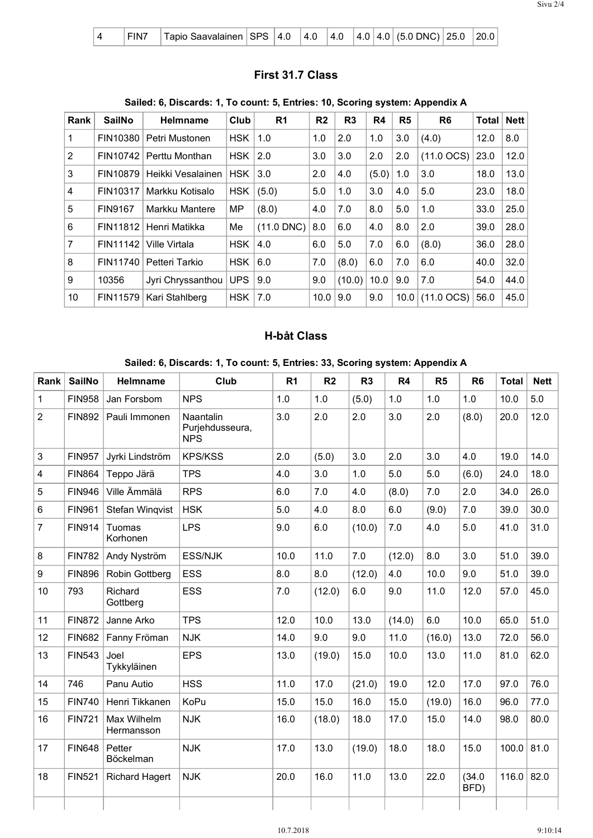|  |  | FIN7   Tapio Saavalainen   SPS   4.0   4.0   4.0   4.0   4.0   (5.0 DNC)   25.0   20.0 |  |  |  |  |  |  |  |  |  |
|--|--|----------------------------------------------------------------------------------------|--|--|--|--|--|--|--|--|--|
|--|--|----------------------------------------------------------------------------------------|--|--|--|--|--|--|--|--|--|

## **First 31.7 Class**

## **Sailed: 6, Discards: 1, To count: 5, Entries: 10, Scoring system: Appendix A**

| Rank           | <b>SailNo</b>  | Helmname          | Club       | R <sub>1</sub> | R <sub>2</sub> | R <sub>3</sub> | R4    | R <sub>5</sub> | R <sub>6</sub>         | <b>Total</b> | Nett |
|----------------|----------------|-------------------|------------|----------------|----------------|----------------|-------|----------------|------------------------|--------------|------|
| 1              | FIN10380       | Petri Mustonen    | <b>HSK</b> | 1.0            | 1.0            | 2.0            | 1.0   | 3.0            | (4.0)                  | 12.0         | 8.0  |
| 2              | FIN10742       | Perttu Monthan    | <b>HSK</b> | 2.0            | 3.0            | 3.0            | 2.0   | 2.0            | $(11.0 \, \text{OCS})$ | 23.0         | 12.0 |
| 3              | FIN10879       | Heikki Vesalainen | <b>HSK</b> | 3.0            | 2.0            | 4.0            | (5.0) | 1.0            | 3.0                    | 18.0         | 13.0 |
| $\overline{4}$ | FIN10317       | Markku Kotisalo   | <b>HSK</b> | (5.0)          | 5.0            | 1.0            | 3.0   | 4.0            | 5.0                    | 23.0         | 18.0 |
| 5              | <b>FIN9167</b> | Markku Mantere    | MP         | (8.0)          | 4.0            | 7.0            | 8.0   | 5.0            | 1.0                    | 33.0         | 25.0 |
| 6              | FIN11812       | Henri Matikka     | Me         | $(11.0$ DNC)   | 8.0            | 6.0            | 4.0   | 8.0            | 2.0                    | 39.0         | 28.0 |
| $\overline{7}$ | FIN11142       | Ville Virtala     | <b>HSK</b> | 4.0            | 6.0            | 5.0            | 7.0   | 6.0            | (8.0)                  | 36.0         | 28.0 |
| 8              | FIN11740       | Petteri Tarkio    | <b>HSK</b> | 6.0            | 7.0            | (8.0)          | 6.0   | 7.0            | 6.0                    | 40.0         | 32.0 |
| 9              | 10356          | Jyri Chryssanthou | <b>UPS</b> | 9.0            | 9.0            | (10.0)         | 10.0  | 9.0            | 7.0                    | 54.0         | 44.0 |
| 10             | FIN11579       | Kari Stahlberg    | <b>HSK</b> | 7.0            | 10.0           | 9.0            | 9.0   | 10.0           | $(11.0 \, \text{OCS})$ | 56.0         | 45.0 |

## **H-båt Class**

#### **Sailed: 6, Discards: 1, To count: 5, Entries: 33, Scoring system: Appendix A**

| Rank | <b>SailNo</b> | Helmname                  | Club                                       | R <sub>1</sub> | R <sub>2</sub> | R <sub>3</sub> | <b>R4</b> | R5      | R <sub>6</sub> | <b>Total</b> | <b>Nett</b> |
|------|---------------|---------------------------|--------------------------------------------|----------------|----------------|----------------|-----------|---------|----------------|--------------|-------------|
| 1    | <b>FIN958</b> | Jan Forsbom               | <b>NPS</b>                                 | 1.0            | 1.0            | (5.0)          | 1.0       | 1.0     | 1.0            | 10.0         | 5.0         |
| 2    | <b>FIN892</b> | Pauli Immonen             | Naantalin<br>Purjehdusseura,<br><b>NPS</b> | 3.0            | 2.0            | 2.0            | 3.0       | 2.0     | (8.0)          | 20.0         | 12.0        |
| 3    | <b>FIN957</b> | Jyrki Lindström           | <b>KPS/KSS</b>                             | 2.0            | (5.0)          | 3.0            | 2.0       | 3.0     | 4.0            | 19.0         | 14.0        |
| 4    | <b>FIN864</b> | Teppo Järä                | <b>TPS</b>                                 | 4.0            | 3.0            | 1.0            | 5.0       | 5.0     | (6.0)          | 24.0         | 18.0        |
| 5    | <b>FIN946</b> | Ville Ämmälä              | <b>RPS</b>                                 | 6.0            | 7.0            | 4.0            | (8.0)     | 7.0     | 2.0            | 34.0         | 26.0        |
| 6    | <b>FIN961</b> | Stefan Wingvist           | <b>HSK</b>                                 | 5.0            | 4.0            | 8.0            | 6.0       | (9.0)   | 7.0            | 39.0         | 30.0        |
| 7    | <b>FIN914</b> | Tuomas<br>Korhonen        | <b>LPS</b>                                 | 9.0            | 6.0            | (10.0)         | 7.0       | 4.0     | 5.0            | 41.0         | 31.0        |
| 8    | <b>FIN782</b> | Andy Nyström              | <b>ESS/NJK</b>                             | 10.0           | 11.0           | 7.0            | (12.0)    | 8.0     | 3.0            | 51.0         | 39.0        |
| 9    | <b>FIN896</b> | Robin Gottberg            | <b>ESS</b>                                 | 8.0            | 8.0            | (12.0)         | 4.0       | 10.0    | 9.0            | 51.0         | 39.0        |
| 10   | 793           | Richard<br>Gottberg       | <b>ESS</b>                                 | 7.0            | (12.0)         | 6.0            | 9.0       | 11.0    | 12.0           | 57.0         | 45.0        |
| 11   | <b>FIN872</b> | Janne Arko                | <b>TPS</b>                                 | 12.0           | 10.0           | 13.0           | (14.0)    | $6.0\,$ | 10.0           | 65.0         | 51.0        |
| 12   | <b>FIN682</b> | Fanny Fröman              | <b>NJK</b>                                 | 14.0           | 9.0            | 9.0            | 11.0      | (16.0)  | 13.0           | 72.0         | 56.0        |
| 13   | <b>FIN543</b> | Joel<br>Tykkyläinen       | <b>EPS</b>                                 | 13.0           | (19.0)         | 15.0           | 10.0      | 13.0    | 11.0           | 81.0         | 62.0        |
| 14   | 746           | Panu Autio                | <b>HSS</b>                                 | 11.0           | 17.0           | (21.0)         | 19.0      | 12.0    | 17.0           | 97.0         | 76.0        |
| 15   | <b>FIN740</b> | Henri Tikkanen            | <b>KoPu</b>                                | 15.0           | 15.0           | 16.0           | 15.0      | (19.0)  | 16.0           | 96.0         | 77.0        |
| 16   | <b>FIN721</b> | Max Wilhelm<br>Hermansson | <b>NJK</b>                                 | 16.0           | (18.0)         | 18.0           | 17.0      | 15.0    | 14.0           | 98.0         | 80.0        |
| 17   | <b>FIN648</b> | Petter<br>Böckelman       | <b>NJK</b>                                 | 17.0           | 13.0           | (19.0)         | 18.0      | 18.0    | 15.0           | 100.0        | 81.0        |
| 18   | <b>FIN521</b> | <b>Richard Hagert</b>     | <b>NJK</b>                                 | 20.0           | 16.0           | 11.0           | 13.0      | 22.0    | (34.0)<br>BFD) | $116.0$ 82.0 |             |
|      |               |                           |                                            |                |                |                |           |         |                |              |             |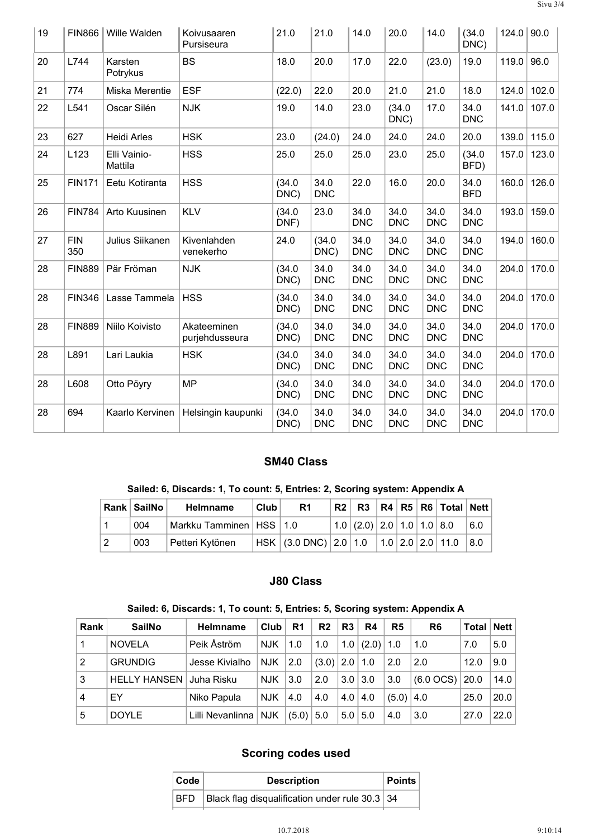| 19 | <b>FIN866</b>     | Wille Walden            | Koivusaaren<br>Pursiseura     | 21.0           | 21.0               | 14.0               | 20.0               | 14.0               | (34.0)<br>DNC)     | $124.0$ 90.0 |       |
|----|-------------------|-------------------------|-------------------------------|----------------|--------------------|--------------------|--------------------|--------------------|--------------------|--------------|-------|
| 20 | L744              | Karsten<br>Potrykus     | <b>BS</b>                     | 18.0           | 20.0               | 17.0               | 22.0               | (23.0)             | 19.0               | 119.0        | 96.0  |
| 21 | 774               | Miska Merentie          | <b>ESF</b>                    | (22.0)         | 22.0               | 20.0               | 21.0               | 21.0               | 18.0               | 124.0        | 102.0 |
| 22 | L541              | Oscar Silén             | <b>NJK</b>                    | 19.0           | 14.0               | 23.0               | (34.0)<br>DNC)     | 17.0               | 34.0<br><b>DNC</b> | 141.0        | 107.0 |
| 23 | 627               | <b>Heidi Arles</b>      | <b>HSK</b>                    | 23.0           | (24.0)             | 24.0               | 24.0               | 24.0               | 20.0               | 139.0        | 115.0 |
| 24 | L123              | Elli Vainio-<br>Mattila | <b>HSS</b>                    | 25.0           | 25.0               | 25.0               | 23.0               | 25.0               | (34.0)<br>BFD)     | 157.0        | 123.0 |
| 25 | <b>FIN171</b>     | Eetu Kotiranta          | <b>HSS</b>                    | (34.0)<br>DNC) | 34.0<br><b>DNC</b> | 22.0               | 16.0               | 20.0               | 34.0<br><b>BFD</b> | 160.0        | 126.0 |
| 26 | <b>FIN784</b>     | Arto Kuusinen           | <b>KLV</b>                    | (34.0)<br>DNF) | 23.0               | 34.0<br><b>DNC</b> | 34.0<br><b>DNC</b> | 34.0<br><b>DNC</b> | 34.0<br><b>DNC</b> | 193.0        | 159.0 |
| 27 | <b>FIN</b><br>350 | Julius Siikanen         | Kivenlahden<br>venekerho      | 24.0           | (34.0)<br>DNC)     | 34.0<br><b>DNC</b> | 34.0<br><b>DNC</b> | 34.0<br><b>DNC</b> | 34.0<br><b>DNC</b> | 194.0        | 160.0 |
| 28 | <b>FIN889</b>     | Pär Fröman              | <b>NJK</b>                    | (34.0)<br>DNC) | 34.0<br><b>DNC</b> | 34.0<br><b>DNC</b> | 34.0<br><b>DNC</b> | 34.0<br><b>DNC</b> | 34.0<br><b>DNC</b> | 204.0        | 170.0 |
| 28 | <b>FIN346</b>     | Lasse Tammela           | <b>HSS</b>                    | (34.0)<br>DNC) | 34.0<br><b>DNC</b> | 34.0<br><b>DNC</b> | 34.0<br><b>DNC</b> | 34.0<br><b>DNC</b> | 34.0<br><b>DNC</b> | 204.0        | 170.0 |
| 28 | <b>FIN889</b>     | Niilo Koivisto          | Akateeminen<br>purjehdusseura | (34.0)<br>DNC) | 34.0<br><b>DNC</b> | 34.0<br><b>DNC</b> | 34.0<br><b>DNC</b> | 34.0<br><b>DNC</b> | 34.0<br><b>DNC</b> | 204.0        | 170.0 |
| 28 | L891              | Lari Laukia             | <b>HSK</b>                    | (34.0)<br>DNC) | 34.0<br><b>DNC</b> | 34.0<br><b>DNC</b> | 34.0<br><b>DNC</b> | 34.0<br><b>DNC</b> | 34.0<br><b>DNC</b> | 204.0        | 170.0 |
| 28 | L608              | Otto Pöyry              | <b>MP</b>                     | (34.0)<br>DNC) | 34.0<br><b>DNC</b> | 34.0<br><b>DNC</b> | 34.0<br><b>DNC</b> | 34.0<br><b>DNC</b> | 34.0<br><b>DNC</b> | 204.0        | 170.0 |
| 28 | 694               | Kaarlo Kervinen         | Helsingin kaupunki            | (34.0)<br>DNC) | 34.0<br><b>DNC</b> | 34.0<br><b>DNC</b> | 34.0<br><b>DNC</b> | 34.0<br><b>DNC</b> | 34.0<br><b>DNC</b> | 204.0        | 170.0 |

#### **SM40 Class**

#### **Sailed: 6, Discards: 1, To count: 5, Entries: 2, Scoring system: Appendix A**

|    | <b>Rank SailNo</b> | Helmname                    | Club | R1                                                     | R2 |                             |  | R3   R4   R5   R6   Total   Nett |     |
|----|--------------------|-----------------------------|------|--------------------------------------------------------|----|-----------------------------|--|----------------------------------|-----|
|    | 004                | Markku Tamminen   HSS   1.0 |      |                                                        |    | $1.0$ (2.0) 2.0 1.0 1.0 8.0 |  |                                  | 6.0 |
| -2 | 003                | Petteri Kytönen             |      | $HSK   (3.0 DNC)   2.0   1.0   1.0   2.0   2.0   11.0$ |    |                             |  |                                  | 8.0 |

### **J80 Class**

## **Sailed: 6, Discards: 1, To count: 5, Entries: 5, Scoring system: Appendix A**

| Rank           | <b>SailNo</b>       | Helmname         | Club       | R <sub>1</sub> | R <sub>2</sub>  | R <sub>3</sub> | R4    | R <sub>5</sub> | R <sub>6</sub>           | Total   Nett |      |
|----------------|---------------------|------------------|------------|----------------|-----------------|----------------|-------|----------------|--------------------------|--------------|------|
| 1              | <b>NOVELA</b>       | Peik Åström      | <b>NJK</b> | 1.0            | 1.0             | 1.0            | (2.0) | 1.0            | 1.0                      | 7.0          | 5.0  |
| 2              | <b>GRUNDIG</b>      | Jesse Kivialho   | <b>NJK</b> | 2.0            | $(3.0)$ 2.0 1.0 |                |       | 2.0            | 2.0                      | 12.0         | 9.0  |
| 3              | <b>HELLY HANSEN</b> | ∣Juha Risku      | <b>NJK</b> | 3.0            | 2.0             | $3.0$ 3.0      |       | 3.0            | $(6.0 \text{ OCS})$ 20.0 |              | 14.0 |
| $\overline{4}$ | EY                  | Niko Papula      | <b>NJK</b> | 4.0            | 4.0             | $4.0 \mid 4.0$ |       | $(5.0)$ 4.0    |                          | 25.0         | 20.0 |
| 5              | <b>DOYLE</b>        | Lilli Nevanlinna | NJK.       | (5.0)          | 5.0             | $5.0$   5.0    |       | 4.0            | 3.0                      | 27.0         | 22.0 |

## **Scoring codes used**

| Code | <b>Description</b>                             | $ $ Points |  |
|------|------------------------------------------------|------------|--|
| BFD  | Black flag disqualification under rule 30.3 34 |            |  |